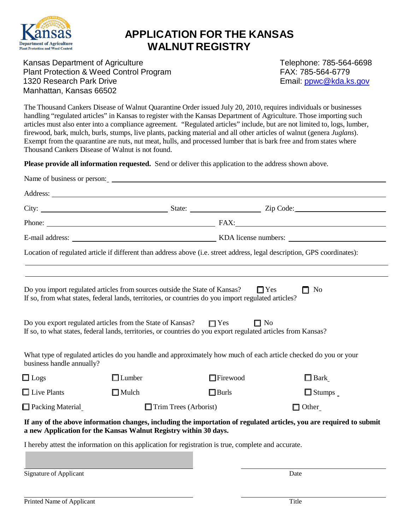

## **APPLICATION FOR THE KANSAS WALNUT REGISTRY**

Kansas Department of Agriculture Telephone: 785-564-6698 Plant Protection & Weed Control Program<br>1320 Research Park Drive **FAX:** 785-564-6779<br>Email: ppwc@kda.ks.gov 1320 Research Park Drive Manhattan, Kansas 66502

The Thousand Cankers Disease of Walnut Quarantine Order issued July 20, 2010, requires individuals or businesses handling "regulated articles" in Kansas to register with the Kansas Department of Agriculture. Those importing such articles must also enter into a compliance agreement. "Regulated articles" include, but are not limited to, logs, lumber, firewood, bark, mulch, burls, stumps, live plants, packing material and all other articles of walnut (genera *Juglans*). Exempt from the quarantine are nuts, nut meat, hulls, and processed lumber that is bark free and from states where Thousand Cankers Disease of Walnut is not found.

**Please provide all information requested.** Send or deliver this application to the address shown above.

|                           | Name of business or person:                                                                                                                                                       |                         |                                                                                                                      |
|---------------------------|-----------------------------------------------------------------------------------------------------------------------------------------------------------------------------------|-------------------------|----------------------------------------------------------------------------------------------------------------------|
|                           |                                                                                                                                                                                   |                         |                                                                                                                      |
|                           |                                                                                                                                                                                   |                         |                                                                                                                      |
|                           |                                                                                                                                                                                   |                         |                                                                                                                      |
|                           |                                                                                                                                                                                   |                         |                                                                                                                      |
|                           | Location of regulated article if different than address above (i.e. street address, legal description, GPS coordinates):                                                          |                         |                                                                                                                      |
|                           |                                                                                                                                                                                   |                         |                                                                                                                      |
|                           | Do you import regulated articles from sources outside the State of Kansas?<br>If so, from what states, federal lands, territories, or countries do you import regulated articles? |                         | $\Box$ Yes<br>$\Box$ No                                                                                              |
|                           | Do you export regulated articles from the State of Kansas?<br>If so, to what states, federal lands, territories, or countries do you export regulated articles from Kansas?       | $\Box$ Yes<br>$\Box$ No |                                                                                                                      |
| business handle annually? | What type of regulated articles do you handle and approximately how much of each article checked do you or your                                                                   |                         |                                                                                                                      |
| $\square$ Logs            | $\Box$ Lumber                                                                                                                                                                     | $\Box$ Firewood         | $\Box$ Bark                                                                                                          |
| $\Box$ Live Plants        | $\Box$ Mulch                                                                                                                                                                      | $\Box$ Burls            | $\Box$ Stumps $\Box$                                                                                                 |
| $\Box$ Packing Material   | $\Box$ Trim Trees (Arborist)                                                                                                                                                      |                         | $\Box$ Other                                                                                                         |
|                           | a new Application for the Kansas Walnut Registry within 30 days.                                                                                                                  |                         | If any of the above information changes, including the importation of regulated articles, you are required to submit |
|                           | I hereby attest the information on this application for registration is true, complete and accurate.                                                                              |                         |                                                                                                                      |

Signature of Applicant Date